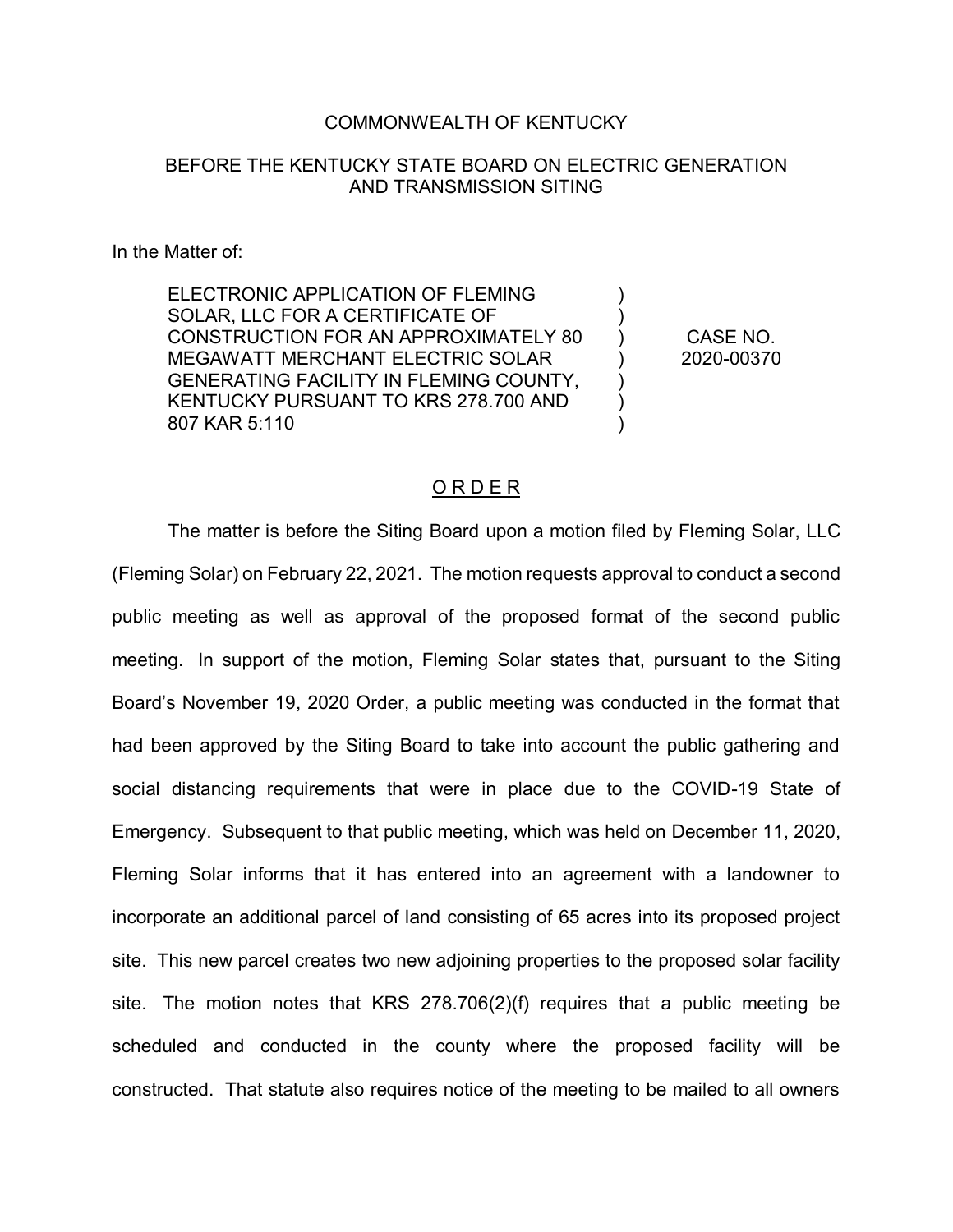## COMMONWEALTH OF KENTUCKY

## BEFORE THE KENTUCKY STATE BOARD ON ELECTRIC GENERATION AND TRANSMISSION SITING

## In the Matter of:

ELECTRONIC APPLICATION OF FLEMING SOLAR, LLC FOR A CERTIFICATE OF CONSTRUCTION FOR AN APPROXIMATELY 80 MEGAWATT MERCHANT ELECTRIC SOLAR GENERATING FACILITY IN FLEMING COUNTY, KENTUCKY PURSUANT TO KRS 278.700 AND 807 KAR 5:110

CASE NO. 2020-00370

) ) ) ) ) ) )

## O R D E R

The matter is before the Siting Board upon a motion filed by Fleming Solar, LLC (Fleming Solar) on February 22, 2021. The motion requests approval to conduct a second public meeting as well as approval of the proposed format of the second public meeting. In support of the motion, Fleming Solar states that, pursuant to the Siting Board's November 19, 2020 Order, a public meeting was conducted in the format that had been approved by the Siting Board to take into account the public gathering and social distancing requirements that were in place due to the COVID-19 State of Emergency. Subsequent to that public meeting, which was held on December 11, 2020, Fleming Solar informs that it has entered into an agreement with a landowner to incorporate an additional parcel of land consisting of 65 acres into its proposed project site. This new parcel creates two new adjoining properties to the proposed solar facility site. The motion notes that KRS 278.706(2)(f) requires that a public meeting be scheduled and conducted in the county where the proposed facility will be constructed. That statute also requires notice of the meeting to be mailed to all owners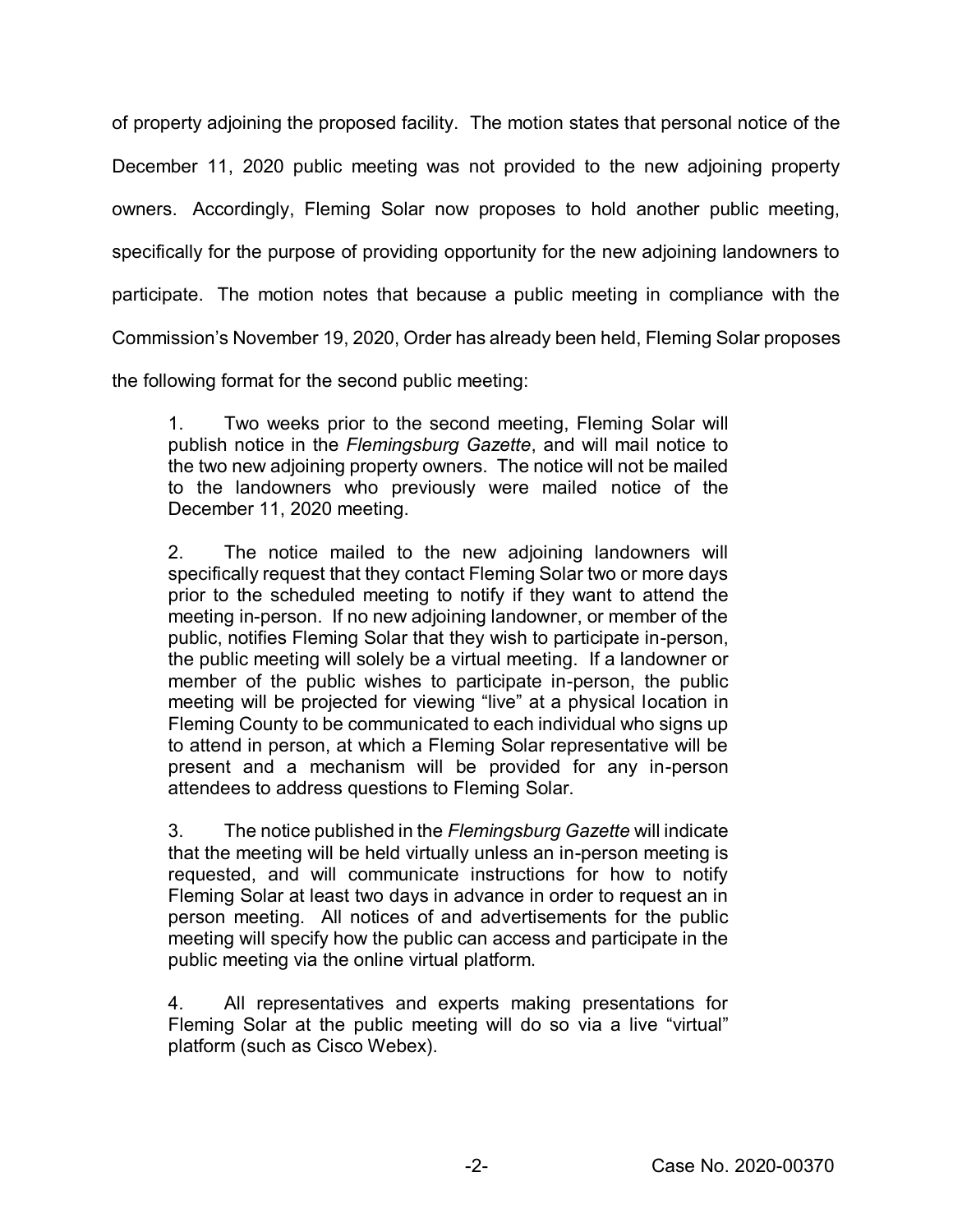of property adjoining the proposed facility. The motion states that personal notice of the December 11, 2020 public meeting was not provided to the new adjoining property owners. Accordingly, Fleming Solar now proposes to hold another public meeting, specifically for the purpose of providing opportunity for the new adjoining landowners to participate. The motion notes that because a public meeting in compliance with the Commission's November 19, 2020, Order has already been held, Fleming Solar proposes

the following format for the second public meeting:

1. Two weeks prior to the second meeting, Fleming Solar will publish notice in the *Flemingsburg Gazette*, and will mail notice to the two new adjoining property owners. The notice will not be mailed to the landowners who previously were mailed notice of the December 11, 2020 meeting.

2. The notice mailed to the new adjoining landowners will specifically request that they contact Fleming Solar two or more days prior to the scheduled meeting to notify if they want to attend the meeting in-person. If no new adjoining landowner, or member of the public, notifies Fleming Solar that they wish to participate in-person, the public meeting will solely be a virtual meeting. If a landowner or member of the public wishes to participate in-person, the public meeting will be projected for viewing "live" at a physical location in Fleming County to be communicated to each individual who signs up to attend in person, at which a Fleming Solar representative will be present and a mechanism will be provided for any in-person attendees to address questions to Fleming Solar.

3. The notice published in the *Flemingsburg Gazette* will indicate that the meeting will be held virtually unless an in-person meeting is requested, and will communicate instructions for how to notify Fleming Solar at least two days in advance in order to request an in person meeting. All notices of and advertisements for the public meeting will specify how the public can access and participate in the public meeting via the online virtual platform.

4. All representatives and experts making presentations for Fleming Solar at the public meeting will do so via a live "virtual" platform (such as Cisco Webex).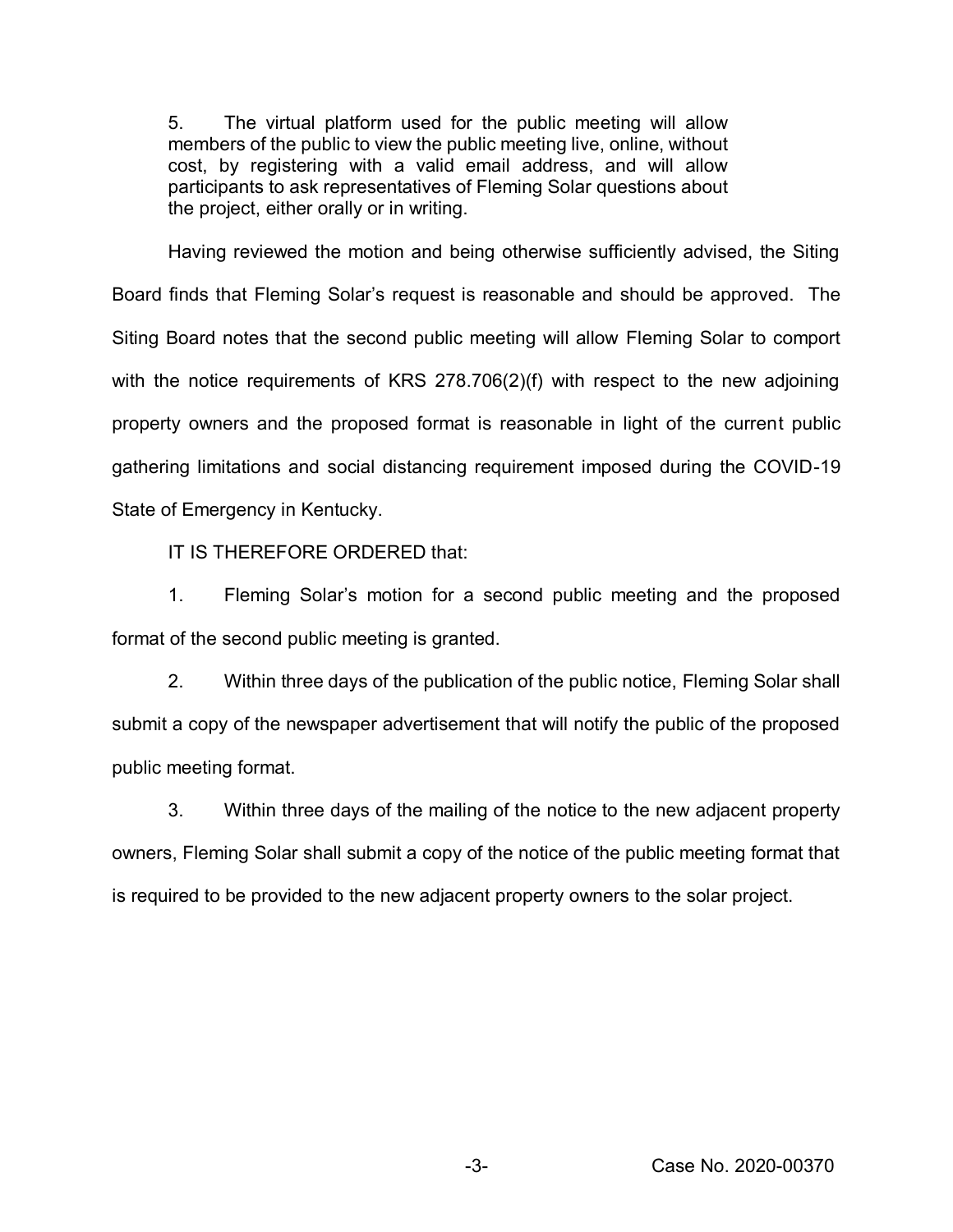5. The virtual platform used for the public meeting will allow members of the public to view the public meeting live, online, without cost, by registering with a valid email address, and will allow participants to ask representatives of Fleming Solar questions about the project, either orally or in writing.

Having reviewed the motion and being otherwise sufficiently advised, the Siting Board finds that Fleming Solar's request is reasonable and should be approved. The Siting Board notes that the second public meeting will allow Fleming Solar to comport with the notice requirements of KRS 278.706(2)(f) with respect to the new adjoining property owners and the proposed format is reasonable in light of the current public gathering limitations and social distancing requirement imposed during the COVID-19 State of Emergency in Kentucky.

IT IS THEREFORE ORDERED that:

1. Fleming Solar's motion for a second public meeting and the proposed format of the second public meeting is granted.

2. Within three days of the publication of the public notice, Fleming Solar shall submit a copy of the newspaper advertisement that will notify the public of the proposed public meeting format.

3. Within three days of the mailing of the notice to the new adjacent property owners, Fleming Solar shall submit a copy of the notice of the public meeting format that is required to be provided to the new adjacent property owners to the solar project.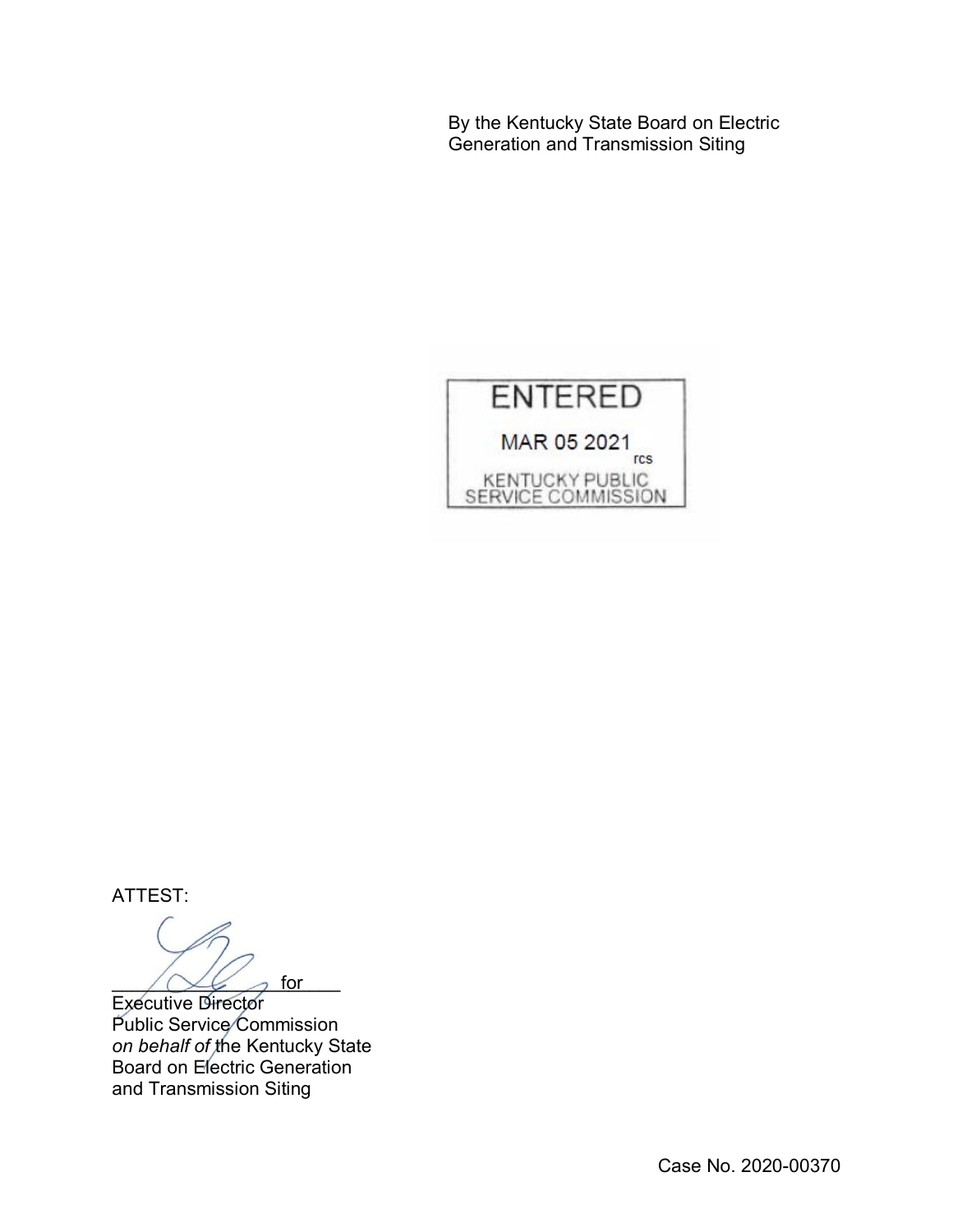By the Kentucky State Board on Electric Generation and Transmission Siting



ATTEST:

 $\bigwedge \bigvee \bigvee$  for for

Executive Director Public Service Commission *on behalf of* the Kentucky State Board on Electric Generation and Transmission Siting